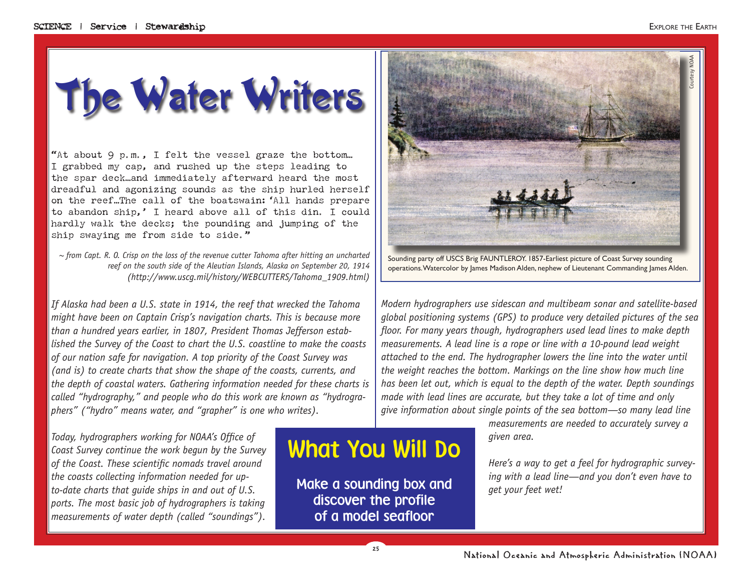The Water Writers

"At about 9 p.m., I felt the vessel graze the bottom… I grabbed my cap, and rushed up the steps leading to the spar deck…and immediately afterward heard the most dreadful and agonizing sounds as the ship hurled herself on the reef…The call of the boatswain:'All hands prepare to abandon ship,' I heard above all of this din. I could hardly walk the decks; the pounding and jumping of the ship swaying me from side to side."

*~ from Capt. R. O. Crisp on the loss of the revenue cutter Tahoma after hitting an uncharted reef on the south side of the Aleutian Islands, Alaska on September 20, 1914 (http://www.uscg.mil/history/WEBCUTTERS/Tahoma\_1909.html)*

*If Alaska had been a U.S. state in 1914, the reef that wrecked the Tahoma might have been on Captain Crisp's navigation charts. This is because more than a hundred years earlier, in 1807, President Thomas Jefferson established the Survey of the Coast to chart the U.S. coastline to make the coasts of our nation safe for navigation. A top priority of the Coast Survey was (and is) to create charts that show the shape of the coasts, currents, and the depth of coastal waters. Gathering information needed for these charts is called "hydrography," and people who do this work are known as "hydrographers" ("hydro" means water, and "grapher" is one who writes).*

*Today, hydrographers working for NOAA's Office of Coast Survey continue the work begun by the Survey of the Coast. These scientific nomads travel around the coasts collecting information needed for upto-date charts that guide ships in and out of U.S. ports. The most basic job of hydrographers is taking measurements of water depth (called "soundings").* 

# What You Will Do

Make a sounding box and discover the profile of a model seafloor



Sounding party off USCS Brig FAUNTLEROY. 1857-Earliest picture of Coast Survey sounding operations. Watercolor by James Madison Alden, nephew of Lieutenant Commanding James Alden.

*Modern hydrographers use sidescan and multibeam sonar and satellite-based global positioning systems (GPS) to produce very detailed pictures of the sea floor. For many years though, hydrographers used lead lines to make depth measurements. A lead line is a rope or line with a 10-pound lead weight attached to the end. The hydrographer lowers the line into the water until the weight reaches the bottom. Markings on the line show how much line has been let out, which is equal to the depth of the water. Depth soundings made with lead lines are accurate, but they take a lot of time and only give information about single points of the sea bottom—so many lead line* 

> *measurements are needed to accurately survey a given area.*

*Here's a way to get a feel for hydrographic surveying with a lead line—and you don't even have to get your feet wet!*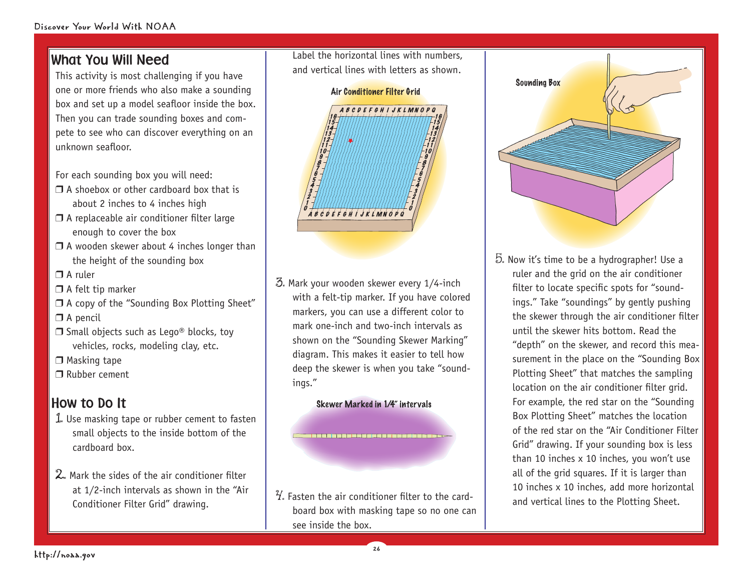### What You Will Need

This activity is most challenging if you have one or more friends who also make a sounding box and set up a model seafloor inside the box. Then you can trade sounding boxes and compete to see who can discover everything on an unknown seafloor.

For each sounding box you will need:

- $\Box$  A shoebox or other cardboard box that is about 2 inches to 4 inches high
- $\Box$  A replaceable air conditioner filter large enough to cover the box
- $\Box$  A wooden skewer about 4 inches longer than the height of the sounding box

 $\Box$  A ruler

- $\Box$  A felt tip marker
- $\Box$  A copy of the "Sounding Box Plotting Sheet"

 $\Box$  A pencil

 $\Box$  Small objects such as Lego® blocks, toy vehicles, rocks, modeling clay, etc.

 $\Box$  Masking tape

 $\Box$  Rubber cement

## How to Do It

- 1. Use masking tape or rubber cement to fasten small objects to the inside bottom of the cardboard box.
- $2$ . Mark the sides of the air conditioner filter at 1/2-inch intervals as shown in the "Air Conditioner Filter Grid" drawing.

Label the horizontal lines with numbers, and vertical lines with letters as shown.



3. Mark your wooden skewer every 1/4-inch with a felt-tip marker. If you have colored markers, you can use a different color to mark one-inch and two-inch intervals as shown on the "Sounding Skewer Marking" diagram. This makes it easier to tell how deep the skewer is when you take "soundings."

#### Skewer Marked in 1/4" intervals

 $\mathcal{U}_s$  Fasten the air conditioner filter to the cardboard box with masking tape so no one can see inside the box.

26



5. Now it's time to be a hydrographer! Use a ruler and the grid on the air conditioner filter to locate specific spots for "soundings." Take "soundings" by gently pushing the skewer through the air conditioner filter until the skewer hits bottom. Read the "depth" on the skewer, and record this measurement in the place on the "Sounding Box Plotting Sheet" that matches the sampling location on the air conditioner filter grid. For example, the red star on the "Sounding Box Plotting Sheet" matches the location of the red star on the "Air Conditioner Filter Grid" drawing. If your sounding box is less than 10 inches x 10 inches, you won't use all of the grid squares. If it is larger than 10 inches x 10 inches, add more horizontal and vertical lines to the Plotting Sheet.